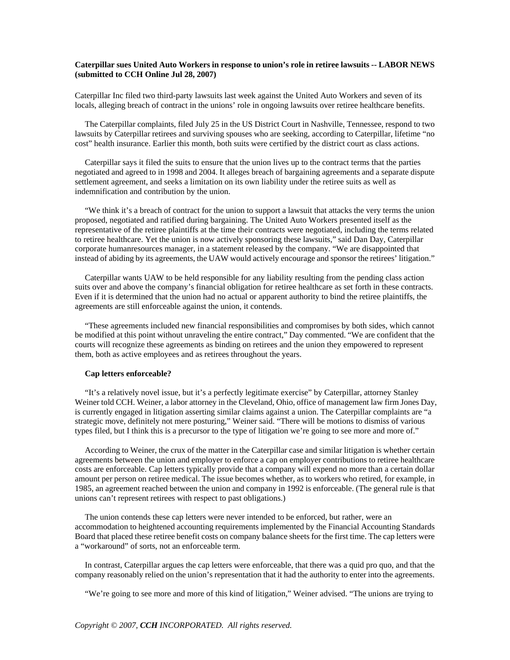## **Caterpillar sues United Auto Workers in response to union's role in retiree lawsuits -- LABOR NEWS (submitted to CCH Online Jul 28, 2007)**

Caterpillar Inc filed two third-party lawsuits last week against the United Auto Workers and seven of its locals, alleging breach of contract in the unions' role in ongoing lawsuits over retiree healthcare benefits.

The Caterpillar complaints, filed July 25 in the US District Court in Nashville, Tennessee, respond to two lawsuits by Caterpillar retirees and surviving spouses who are seeking, according to Caterpillar, lifetime "no cost" health insurance. Earlier this month, both suits were certified by the district court as class actions.

Caterpillar says it filed the suits to ensure that the union lives up to the contract terms that the parties negotiated and agreed to in 1998 and 2004. It alleges breach of bargaining agreements and a separate dispute settlement agreement, and seeks a limitation on its own liability under the retiree suits as well as indemnification and contribution by the union.

"We think it's a breach of contract for the union to support a lawsuit that attacks the very terms the union proposed, negotiated and ratified during bargaining. The United Auto Workers presented itself as the representative of the retiree plaintiffs at the time their contracts were negotiated, including the terms related to retiree healthcare. Yet the union is now actively sponsoring these lawsuits," said Dan Day, Caterpillar corporate humanresources manager, in a statement released by the company. "We are disappointed that instead of abiding by its agreements, the UAW would actively encourage and sponsor the retirees' litigation."

Caterpillar wants UAW to be held responsible for any liability resulting from the pending class action suits over and above the company's financial obligation for retiree healthcare as set forth in these contracts. Even if it is determined that the union had no actual or apparent authority to bind the retiree plaintiffs, the agreements are still enforceable against the union, it contends.

"These agreements included new financial responsibilities and compromises by both sides, which cannot be modified at this point without unraveling the entire contract," Day commented. "We are confident that the courts will recognize these agreements as binding on retirees and the union they empowered to represent them, both as active employees and as retirees throughout the years.

## **Cap letters enforceable?**

"It's a relatively novel issue, but it's a perfectly legitimate exercise" by Caterpillar, attorney Stanley Weiner told CCH. Weiner, a labor attorney in the Cleveland, Ohio, office of management law firm Jones Day, is currently engaged in litigation asserting similar claims against a union. The Caterpillar complaints are "a strategic move, definitely not mere posturing," Weiner said. "There will be motions to dismiss of various types filed, but I think this is a precursor to the type of litigation we're going to see more and more of."

According to Weiner, the crux of the matter in the Caterpillar case and similar litigation is whether certain agreements between the union and employer to enforce a cap on employer contributions to retiree healthcare costs are enforceable. Cap letters typically provide that a company will expend no more than a certain dollar amount per person on retiree medical. The issue becomes whether, as to workers who retired, for example, in 1985, an agreement reached between the union and company in 1992 is enforceable. (The general rule is that unions can't represent retirees with respect to past obligations.)

The union contends these cap letters were never intended to be enforced, but rather, were an accommodation to heightened accounting requirements implemented by the Financial Accounting Standards Board that placed these retiree benefit costs on company balance sheets for the first time. The cap letters were a "workaround" of sorts, not an enforceable term.

In contrast, Caterpillar argues the cap letters were enforceable, that there was a quid pro quo, and that the company reasonably relied on the union's representation that it had the authority to enter into the agreements.

"We're going to see more and more of this kind of litigation," Weiner advised. "The unions are trying to